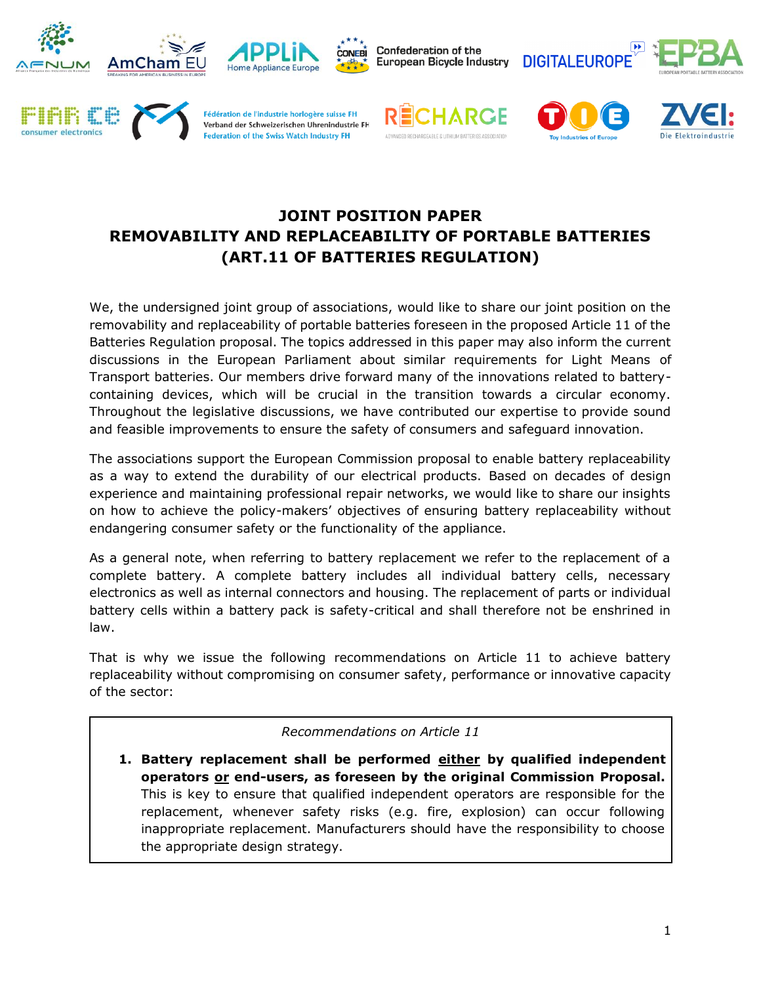















# **JOINT POSITION PAPER REMOVABILITY AND REPLACEABILITY OF PORTABLE BATTERIES (ART.11 OF BATTERIES REGULATION)**

We, the undersigned joint group of associations, would like to share our joint position on the removability and replaceability of portable batteries foreseen in the proposed Article 11 of the Batteries Regulation proposal. The topics addressed in this paper may also inform the current discussions in the European Parliament about similar requirements for Light Means of Transport batteries. Our members drive forward many of the innovations related to batterycontaining devices, which will be crucial in the transition towards a circular economy. Throughout the legislative discussions, we have contributed our expertise to provide sound and feasible improvements to ensure the safety of consumers and safeguard innovation.

The associations support the European Commission proposal to enable battery replaceability as a way to extend the durability of our electrical products. Based on decades of design experience and maintaining professional repair networks, we would like to share our insights on how to achieve the policy-makers' objectives of ensuring battery replaceability without endangering consumer safety or the functionality of the appliance.

As a general note, when referring to battery replacement we refer to the replacement of a complete battery. A complete battery includes all individual battery cells, necessary electronics as well as internal connectors and housing. The replacement of parts or individual battery cells within a battery pack is safety-critical and shall therefore not be enshrined in law.

That is why we issue the following recommendations on Article 11 to achieve battery replaceability without compromising on consumer safety, performance or innovative capacity of the sector:

#### *Recommendations on Article 11*

**1. Battery replacement shall be performed either by qualified independent operators or end-users, as foreseen by the original Commission Proposal.** This is key to ensure that qualified independent operators are responsible for the replacement, whenever safety risks (e.g. fire, explosion) can occur following inappropriate replacement. Manufacturers should have the responsibility to choose the appropriate design strategy.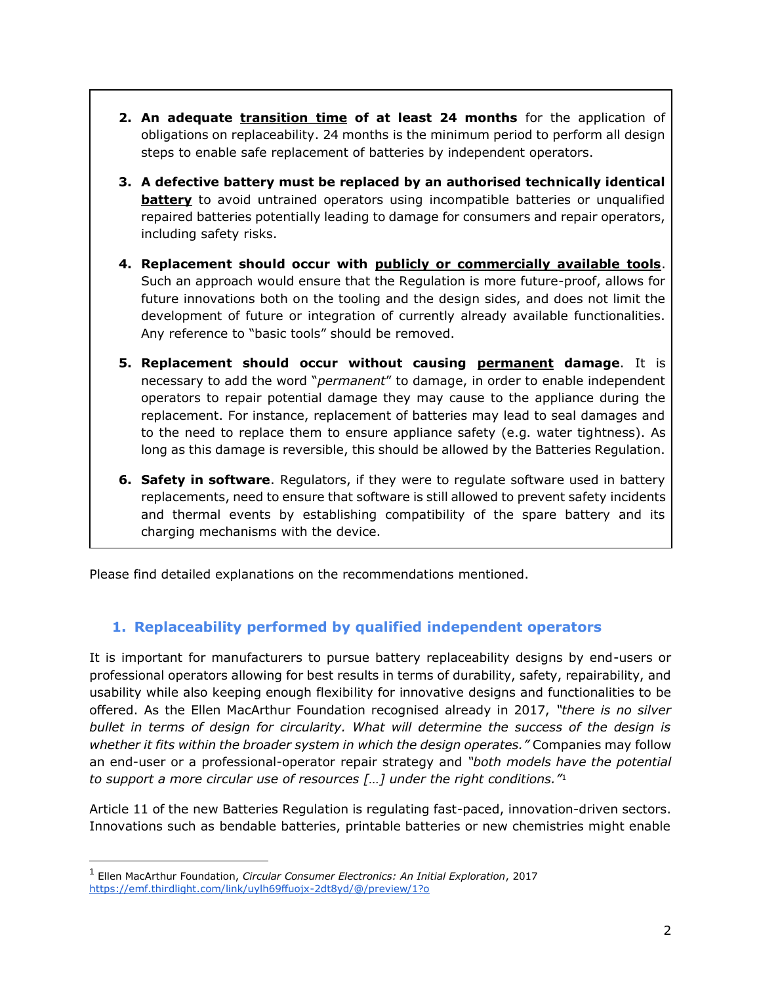- **2. An adequate transition time of at least 24 months** for the application of obligations on replaceability. 24 months is the minimum period to perform all design steps to enable safe replacement of batteries by independent operators.
- **3. A defective battery must be replaced by an authorised technically identical battery** to avoid untrained operators using incompatible batteries or unqualified repaired batteries potentially leading to damage for consumers and repair operators, including safety risks.
- **4. Replacement should occur with publicly or commercially available tools**. Such an approach would ensure that the Regulation is more future-proof, allows for future innovations both on the tooling and the design sides, and does not limit the development of future or integration of currently already available functionalities. Any reference to "basic tools" should be removed.
- **5. Replacement should occur without causing permanent damage**. It is necessary to add the word "*permanent*" to damage, in order to enable independent operators to repair potential damage they may cause to the appliance during the replacement. For instance, replacement of batteries may lead to seal damages and to the need to replace them to ensure appliance safety (e.g. water tightness). As long as this damage is reversible, this should be allowed by the Batteries Regulation.
- **6. Safety in software**. Regulators, if they were to regulate software used in battery replacements, need to ensure that software is still allowed to prevent safety incidents and thermal events by establishing compatibility of the spare battery and its charging mechanisms with the device.

Please find detailed explanations on the recommendations mentioned.

## **1. Replaceability performed by qualified independent operators**

It is important for manufacturers to pursue battery replaceability designs by end-users or professional operators allowing for best results in terms of durability, safety, repairability, and usability while also keeping enough flexibility for innovative designs and functionalities to be offered. As the Ellen MacArthur Foundation recognised already in 2017, *"there is no silver bullet in terms of design for circularity. What will determine the success of the design is whether it fits within the broader system in which the design operates."* Companies may follow an end-user or a professional-operator repair strategy and *"both models have the potential to support a more circular use of resources […] under the right conditions."*<sup>1</sup>

Article 11 of the new Batteries Regulation is regulating fast-paced, innovation-driven sectors. Innovations such as bendable batteries, printable batteries or new chemistries might enable

<sup>1</sup> Ellen MacArthur Foundation, *Circular Consumer Electronics: An Initial Exploration*, 2017 <https://emf.thirdlight.com/link/uylh69ffuojx-2dt8yd/@/preview/1?o>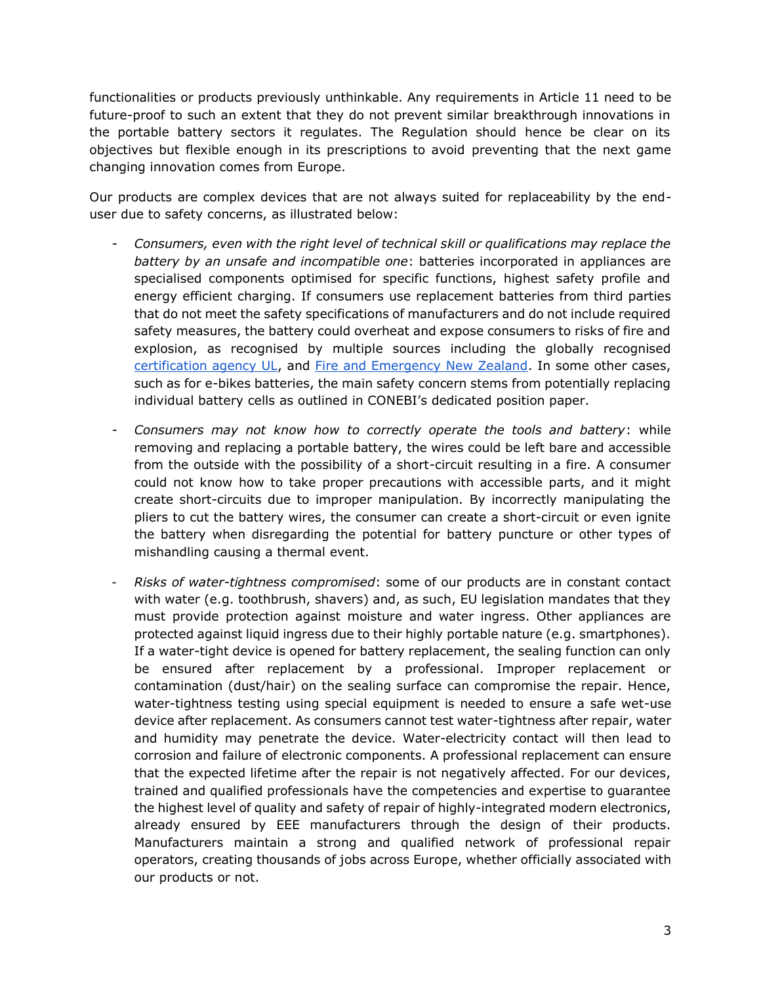functionalities or products previously unthinkable. Any requirements in Article 11 need to be future-proof to such an extent that they do not prevent similar breakthrough innovations in the portable battery sectors it regulates. The Regulation should hence be clear on its objectives but flexible enough in its prescriptions to avoid preventing that the next game changing innovation comes from Europe.

Our products are complex devices that are not always suited for replaceability by the enduser due to safety concerns, as illustrated below:

- *Consumers, even with the right level of technical skill or qualifications may replace the battery by an unsafe and incompatible one*: batteries incorporated in appliances are specialised components optimised for specific functions, highest safety profile and energy efficient charging. If consumers use replacement batteries from third parties that do not meet the safety specifications of manufacturers and do not include required safety measures, the battery could overheat and expose consumers to risks of fire and explosion, as recognised by multiple sources including the globally recognised [certification agency UL,](https://besafebuyreal.ul.org/sites/default/files/2020-11/UL%20Counterfeit%20Batteries%20eGuide_Interactive.pdf) and [Fire and Emergency New Zealand.](https://www.fireandemergency.nz/assets/Documents/Files/Report_174_Lithium_Batteries_Whats_the_problem.pdf) In some other cases, such as for e-bikes batteries, the main safety concern stems from potentially replacing individual battery cells as outlined in CONEBI's dedicated position paper.
- *Consumers may not know how to correctly operate the tools and battery*: while removing and replacing a portable battery, the wires could be left bare and accessible from the outside with the possibility of a short-circuit resulting in a fire. A consumer could not know how to take proper precautions with accessible parts, and it might create short-circuits due to improper manipulation. By incorrectly manipulating the pliers to cut the battery wires, the consumer can create a short-circuit or even ignite the battery when disregarding the potential for battery puncture or other types of mishandling causing a thermal event.
- *Risks of water-tightness compromised*: some of our products are in constant contact with water (e.g. toothbrush, shavers) and, as such, EU legislation mandates that they must provide protection against moisture and water ingress. Other appliances are protected against liquid ingress due to their highly portable nature (e.g. smartphones). If a water-tight device is opened for battery replacement, the sealing function can only be ensured after replacement by a professional. Improper replacement or contamination (dust/hair) on the sealing surface can compromise the repair. Hence, water-tightness testing using special equipment is needed to ensure a safe wet-use device after replacement. As consumers cannot test water-tightness after repair, water and humidity may penetrate the device. Water-electricity contact will then lead to corrosion and failure of electronic components. A professional replacement can ensure that the expected lifetime after the repair is not negatively affected. For our devices, trained and qualified professionals have the competencies and expertise to guarantee the highest level of quality and safety of repair of highly-integrated modern electronics, already ensured by EEE manufacturers through the design of their products. Manufacturers maintain a strong and qualified network of professional repair operators, creating thousands of jobs across Europe, whether officially associated with our products or not.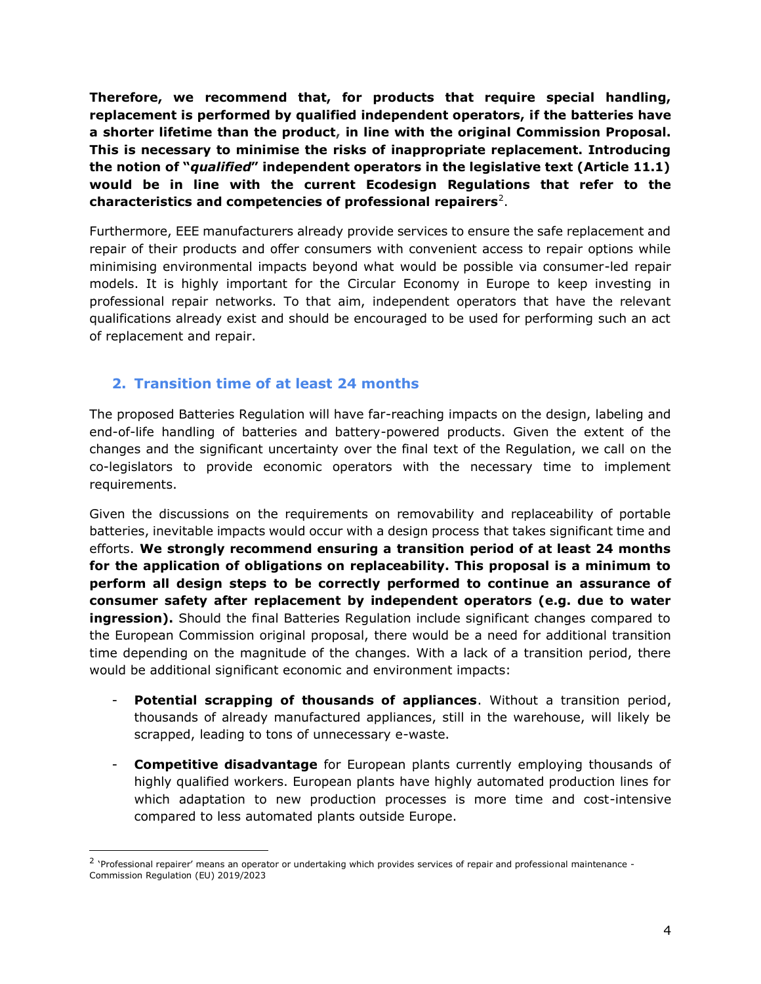**Therefore, we recommend that, for products that require special handling, replacement is performed by qualified independent operators, if the batteries have a shorter lifetime than the product, in line with the original Commission Proposal. This is necessary to minimise the risks of inappropriate replacement. Introducing the notion of "***qualified***" independent operators in the legislative text (Article 11.1) would be in line with the current Ecodesign Regulations that refer to the characteristics and competencies of professional repairers**<sup>2</sup> .

Furthermore, EEE manufacturers already provide services to ensure the safe replacement and repair of their products and offer consumers with convenient access to repair options while minimising environmental impacts beyond what would be possible via consumer-led repair models. It is highly important for the Circular Economy in Europe to keep investing in professional repair networks. To that aim, independent operators that have the relevant qualifications already exist and should be encouraged to be used for performing such an act of replacement and repair.

## **2. Transition time of at least 24 months**

The proposed Batteries Regulation will have far-reaching impacts on the design, labeling and end-of-life handling of batteries and battery-powered products. Given the extent of the changes and the significant uncertainty over the final text of the Regulation, we call on the co-legislators to provide economic operators with the necessary time to implement requirements.

Given the discussions on the requirements on removability and replaceability of portable batteries, inevitable impacts would occur with a design process that takes significant time and efforts. **We strongly recommend ensuring a transition period of at least 24 months for the application of obligations on replaceability. This proposal is a minimum to perform all design steps to be correctly performed to continue an assurance of consumer safety after replacement by independent operators (e.g. due to water ingression).** Should the final Batteries Regulation include significant changes compared to the European Commission original proposal, there would be a need for additional transition time depending on the magnitude of the changes. With a lack of a transition period, there would be additional significant economic and environment impacts:

- **Potential scrapping of thousands of appliances**. Without a transition period, thousands of already manufactured appliances, still in the warehouse, will likely be scrapped, leading to tons of unnecessary e-waste.
- **Competitive disadvantage** for European plants currently employing thousands of highly qualified workers. European plants have highly automated production lines for which adaptation to new production processes is more time and cost-intensive compared to less automated plants outside Europe.

<sup>&</sup>lt;sup>2</sup> 'Professional repairer' means an operator or undertaking which provides services of repair and professional maintenance -Commission Regulation (EU) 2019/2023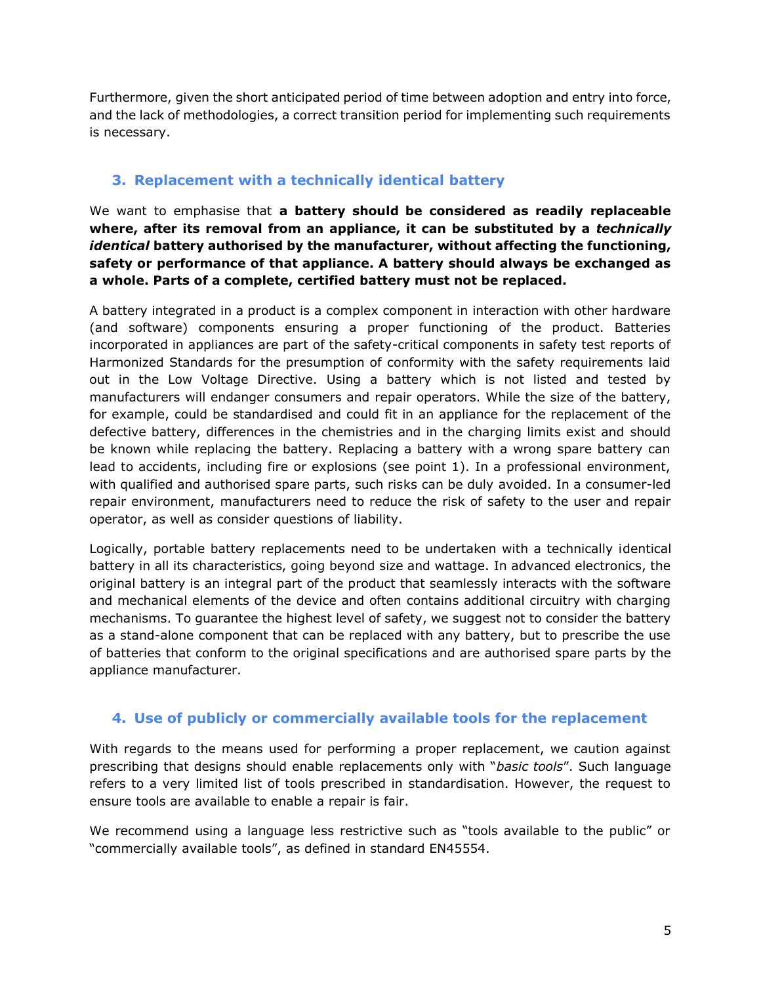Furthermore, given the short anticipated period of time between adoption and entry into force, and the lack of methodologies, a correct transition period for implementing such requirements is necessary.

## **3. Replacement with a technically identical battery**

We want to emphasise that **a battery should be considered as readily replaceable where, after its removal from an appliance, it can be substituted by a** *technically identical* **battery authorised by the manufacturer, without affecting the functioning, safety or performance of that appliance. A battery should always be exchanged as a whole. Parts of a complete, certified battery must not be replaced.**

A battery integrated in a product is a complex component in interaction with other hardware (and software) components ensuring a proper functioning of the product. Batteries incorporated in appliances are part of the safety-critical components in safety test reports of Harmonized Standards for the presumption of conformity with the safety requirements laid out in the Low Voltage Directive. Using a battery which is not listed and tested by manufacturers will endanger consumers and repair operators. While the size of the battery, for example, could be standardised and could fit in an appliance for the replacement of the defective battery, differences in the chemistries and in the charging limits exist and should be known while replacing the battery. Replacing a battery with a wrong spare battery can lead to accidents, including fire or explosions (see point 1). In a professional environment, with qualified and authorised spare parts, such risks can be duly avoided. In a consumer-led repair environment, manufacturers need to reduce the risk of safety to the user and repair operator, as well as consider questions of liability.

Logically, portable battery replacements need to be undertaken with a technically identical battery in all its characteristics, going beyond size and wattage. In advanced electronics, the original battery is an integral part of the product that seamlessly interacts with the software and mechanical elements of the device and often contains additional circuitry with charging mechanisms. To guarantee the highest level of safety, we suggest not to consider the battery as a stand-alone component that can be replaced with any battery, but to prescribe the use of batteries that conform to the original specifications and are authorised spare parts by the appliance manufacturer.

## **4. Use of publicly or commercially available tools for the replacement**

With regards to the means used for performing a proper replacement, we caution against prescribing that designs should enable replacements only with "*basic tools*". Such language refers to a very limited list of tools prescribed in standardisation. However, the request to ensure tools are available to enable a repair is fair.

We recommend using a language less restrictive such as "tools available to the public" or "commercially available tools", as defined in standard EN45554.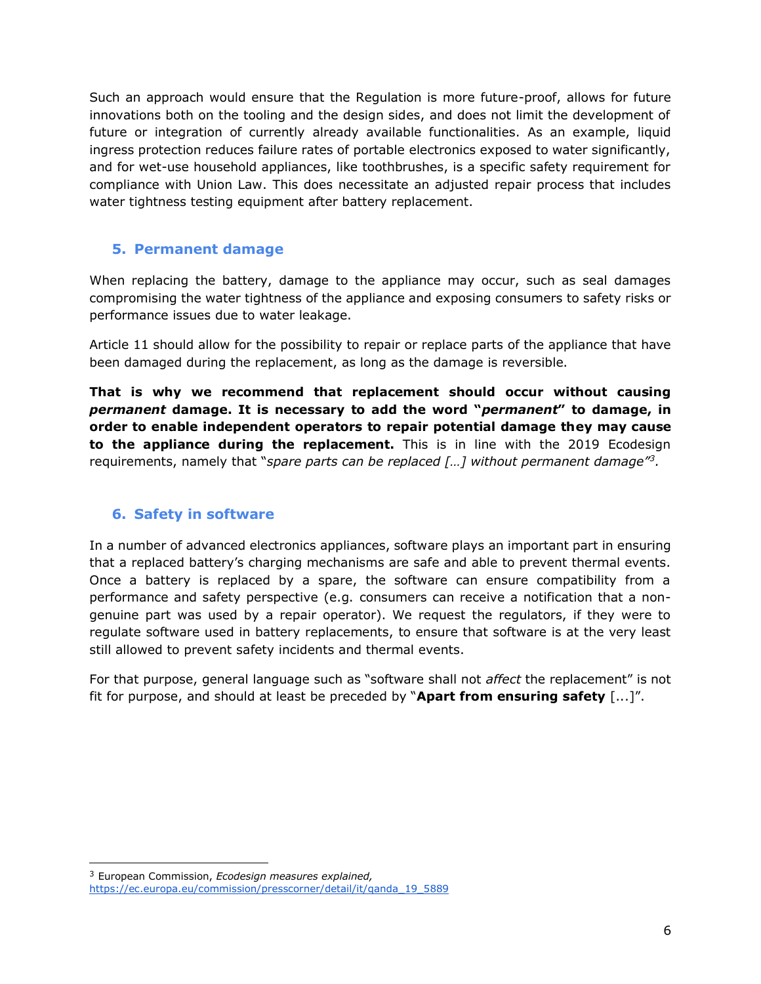Such an approach would ensure that the Regulation is more future-proof, allows for future innovations both on the tooling and the design sides, and does not limit the development of future or integration of currently already available functionalities. As an example, liquid ingress protection reduces failure rates of portable electronics exposed to water significantly, and for wet-use household appliances, like toothbrushes, is a specific safety requirement for compliance with Union Law. This does necessitate an adjusted repair process that includes water tightness testing equipment after battery replacement.

#### **5. Permanent damage**

When replacing the battery, damage to the appliance may occur, such as seal damages compromising the water tightness of the appliance and exposing consumers to safety risks or performance issues due to water leakage.

Article 11 should allow for the possibility to repair or replace parts of the appliance that have been damaged during the replacement, as long as the damage is reversible.

**That is why we recommend that replacement should occur without causing**  *permanent* **damage. It is necessary to add the word "***permanent***" to damage, in order to enable independent operators to repair potential damage they may cause to the appliance during the replacement.** This is in line with the 2019 Ecodesign requirements, namely that "*spare parts can be replaced […] without permanent damage"<sup>3</sup> .*

#### **6. Safety in software**

In a number of advanced electronics appliances, software plays an important part in ensuring that a replaced battery's charging mechanisms are safe and able to prevent thermal events. Once a battery is replaced by a spare, the software can ensure compatibility from a performance and safety perspective (e.g. consumers can receive a notification that a nongenuine part was used by a repair operator). We request the regulators, if they were to regulate software used in battery replacements, to ensure that software is at the very least still allowed to prevent safety incidents and thermal events.

For that purpose, general language such as "software shall not *affect* the replacement" is not fit for purpose, and should at least be preceded by "**Apart from ensuring safety** [...]".

<sup>3</sup> European Commission, *Ecodesign measures explained,*  [https://ec.europa.eu/commission/presscorner/detail/it/qanda\\_19\\_5889](https://ec.europa.eu/commission/presscorner/detail/it/qanda_19_5889)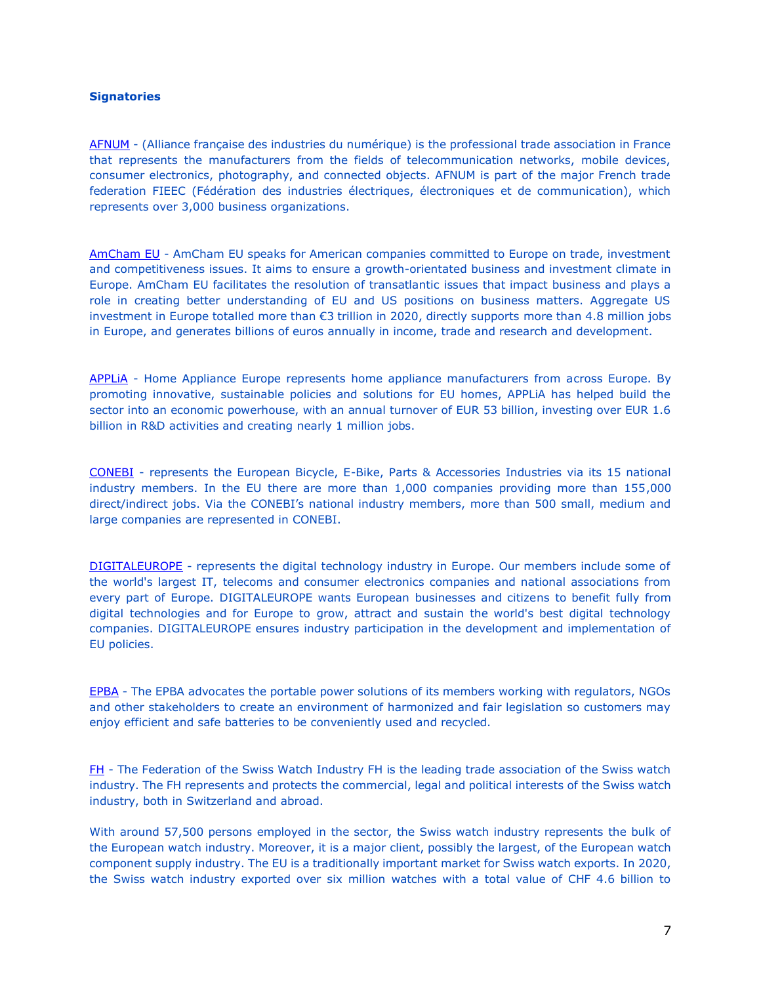#### **Signatories**

[AFNUM](https://www.afnum.fr/) - (Alliance française des industries du numérique) is the professional trade association in France that represents the manufacturers from the fields of telecommunication networks, mobile devices, consumer electronics, photography, and connected objects. AFNUM is part of the major French trade federation FIEEC (Fédération des industries électriques, électroniques et de communication), which represents over 3,000 business organizations.

[AmCham EU](https://www.amchameu.eu/) - AmCham EU speaks for American companies committed to Europe on trade, investment and competitiveness issues. It aims to ensure a growth-orientated business and investment climate in Europe. AmCham EU facilitates the resolution of transatlantic issues that impact business and plays a role in creating better understanding of EU and US positions on business matters. Aggregate US investment in Europe totalled more than €3 trillion in 2020, directly supports more than 4.8 million jobs in Europe, and generates billions of euros annually in income, trade and research and development.

[APPLiA](https://www.applia-europe.eu/) - Home Appliance Europe represents home appliance manufacturers from across Europe. By promoting innovative, sustainable policies and solutions for EU homes, APPLiA has helped build the sector into an economic powerhouse, with an annual turnover of EUR 53 billion, investing over EUR 1.6 billion in R&D activities and creating nearly 1 million jobs.

[CONEBI](https://www.conebi.eu/) - represents the European Bicycle, E-Bike, Parts & Accessories Industries via its 15 national industry members. In the EU there are more than 1,000 companies providing more than 155,000 direct/indirect jobs. Via the CONEBI's national industry members, more than 500 small, medium and large companies are represented in CONEBI.

[DIGITALEUROPE](https://www.digitaleurope.org/) - represents the digital technology industry in Europe. Our members include some of the world's largest IT, telecoms and consumer electronics companies and national associations from every part of Europe. DIGITALEUROPE wants European businesses and citizens to benefit fully from digital technologies and for Europe to grow, attract and sustain the world's best digital technology companies. DIGITALEUROPE ensures industry participation in the development and implementation of EU policies.

[EPBA](https://www.epbaeurope.net/) - The EPBA advocates the portable power solutions of its members working with regulators, NGOs and other stakeholders to create an environment of harmonized and fair legislation so customers may enjoy efficient and safe batteries to be conveniently used and recycled.

[FH](https://www.fhs.swiss/eng/homepage.html) - The Federation of the Swiss Watch Industry FH is the leading trade association of the Swiss watch industry. The FH represents and protects the commercial, legal and political interests of the Swiss watch industry, both in Switzerland and abroad.

With around 57,500 persons employed in the sector, the Swiss watch industry represents the bulk of the European watch industry. Moreover, it is a major client, possibly the largest, of the European watch component supply industry. The EU is a traditionally important market for Swiss watch exports. In 2020, the Swiss watch industry exported over six million watches with a total value of CHF 4.6 billion to